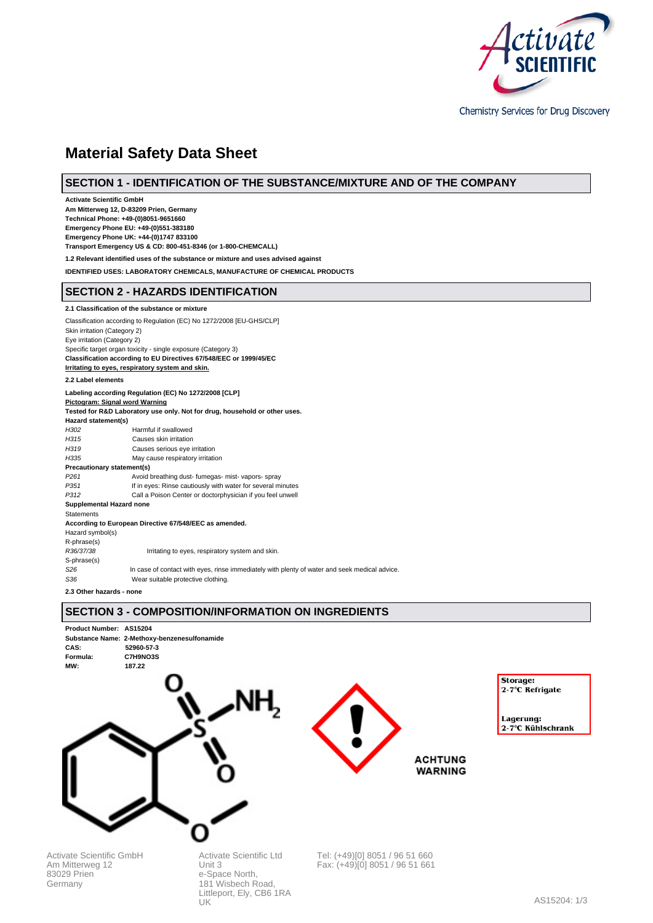

Chemistry Services for Drug Discovery

# **Material Safety Data Sheet**

# **SECTION 1 - IDENTIFICATION OF THE SUBSTANCE/MIXTURE AND OF THE COMPANY**

**Activate Scientific GmbH Am Mitterweg 12, D-83209 Prien, Germany Technical Phone: +49-(0)8051-9651660 Emergency Phone EU: +49-(0)551-383180 Emergency Phone UK: +44-(0)1747 833100 Transport Emergency US & CD: 800-451-8346 (or 1-800-CHEMCALL) 1.2 Relevant identified uses of the substance or mixture and uses advised against IDENTIFIED USES: LABORATORY CHEMICALS, MANUFACTURE OF CHEMICAL PRODUCTS SECTION 2 - HAZARDS IDENTIFICATION 2.1 Classification of the substance or mixture** Classification according to Regulation (EC) No 1272/2008 [EU-GHS/CLP] Skin irritation (Category 2) Eye irritation (Category 2) Specific target organ toxicity - single exposure (Category 3) **Classification according to EU Directives 67/548/EEC or 1999/45/EC Irritating to eyes, respiratory system and skin. 2.2 Label elements Labeling according Regulation (EC) No 1272/2008 [CLP] Pictogram: Signal word Warning Tested for R&D Laboratory use only. Not for drug, household or other uses. Hazard statement(s)** H302 Harmful if swallowed H315 Causes skin irritation<br>
H319 Causes serious eve i Causes serious eye irritation H335 May cause respiratory irritation **Precautionary statement(s)**

P261 Avoid breathing dust- fumegas- mist- vapors- spray<br>P351 If in eyes: Rinse cautiously with water for several m If in eyes: Rinse cautiously with water for several minutes P312 Call a Poison Center or doctorphysician if you feel unwell **Supplemental Hazard none Statements According to European Directive 67/548/EEC as amended.** Hazard symbol(s) R-phrase(s) R36/37/38 Irritating to eyes, respiratory system and skin. S-phrase(s)<br>S26 In case of contact with eyes, rinse immediately with plenty of water and seek medical advice.

S<sub>36</sub> Wear suitable protective clothing.

181 Wisbech Road, Littleport, Ely, CB6 1RA

UK

**2.3 Other hazards - none**

83029 Prien Germany

# **SECTION 3 - COMPOSITION/INFORMATION ON INGREDIENTS**

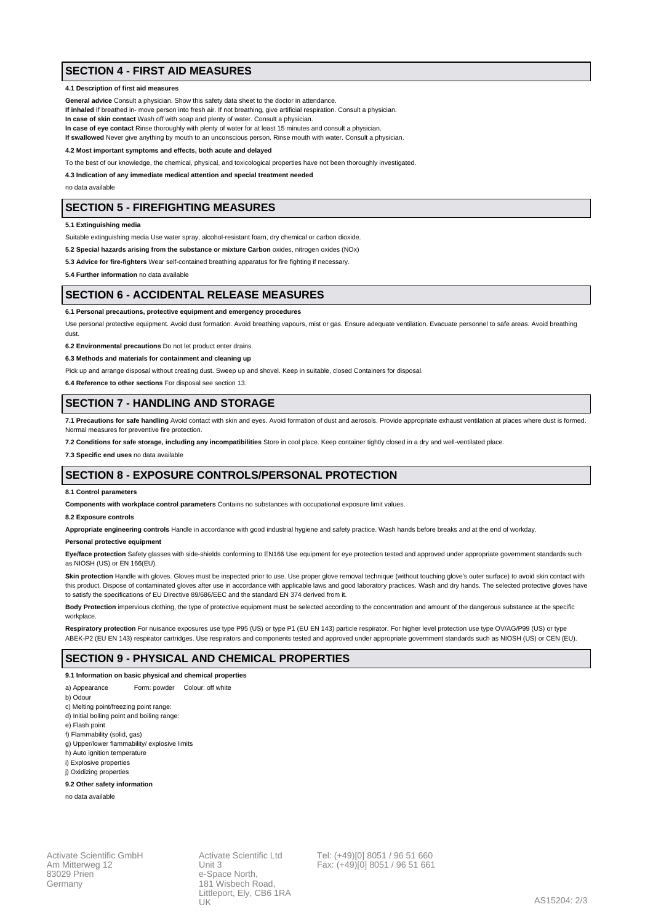# **SECTION 4 - FIRST AID MEASURES**

### **4.1 Description of first aid measures**

**General advice** Consult a physician. Show this safety data sheet to the doctor in attendance.

**If inhaled** If breathed in- move person into fresh air. If not breathing, give artificial respiration. Consult a physician.

**In case of skin contact** Wash off with soap and plenty of water. Consult a physician.

**In case of eye contact** Rinse thoroughly with plenty of water for at least 15 minutes and consult a physician.

**If swallowed** Never give anything by mouth to an unconscious person. Rinse mouth with water. Consult a physician.

**4.2 Most important symptoms and effects, both acute and delayed**

To the best of our knowledge, the chemical, physical, and toxicological properties have not been thoroughly investigated.

**4.3 Indication of any immediate medical attention and special treatment needed**

no data available

# **SECTION 5 - FIREFIGHTING MEASURES**

**5.1 Extinguishing media**

Suitable extinguishing media Use water spray, alcohol-resistant foam, dry chemical or carbon dioxide.

**5.2 Special hazards arising from the substance or mixture Carbon** oxides, nitrogen oxides (NOx)

**5.3 Advice for fire-fighters** Wear self-contained breathing apparatus for fire fighting if necessary.

**5.4 Further information** no data available

### **SECTION 6 - ACCIDENTAL RELEASE MEASURES**

#### **6.1 Personal precautions, protective equipment and emergency procedures**

Use personal protective equipment. Avoid dust formation. Avoid breathing vapours, mist or gas. Ensure adequate ventilation. Evacuate personnel to safe areas. Avoid breathing dust.

**6.2 Environmental precautions** Do not let product enter drains.

**6.3 Methods and materials for containment and cleaning up**

Pick up and arrange disposal without creating dust. Sweep up and shovel. Keep in suitable, closed Containers for disposal.

**6.4 Reference to other sections** For disposal see section 13.

### **SECTION 7 - HANDLING AND STORAGE**

**7.1 Precautions for safe handling** Avoid contact with skin and eyes. Avoid formation of dust and aerosols. Provide appropriate exhaust ventilation at places where dust is formed. Normal measures for preventive fire protection.

**7.2 Conditions for safe storage, including any incompatibilities** Store in cool place. Keep container tightly closed in a dry and well-ventilated place.

**7.3 Specific end uses** no data available

# **SECTION 8 - EXPOSURE CONTROLS/PERSONAL PROTECTION**

#### **8.1 Control parameters**

**Components with workplace control parameters** Contains no substances with occupational exposure limit values.

#### **8.2 Exposure controls**

**Appropriate engineering controls** Handle in accordance with good industrial hygiene and safety practice. Wash hands before breaks and at the end of workday.

#### **Personal protective equipment**

Eye/face protection Safety glasses with side-shields conforming to EN166 Use equipment for eye protection tested and approved under appropriate government standards such as NIOSH (US) or EN 166(EU).

Skin protection Handle with gloves. Gloves must be inspected prior to use. Use proper glove removal technique (without touching glove's outer surface) to avoid skin contact with this product. Dispose of contaminated gloves after use in accordance with applicable laws and good laboratory practices. Wash and dry hands. The selected protective gloves have to satisfy the specifications of EU Directive 89/686/EEC and the standard EN 374 derived from it.

**Body Protection** impervious clothing, the type of protective equipment must be selected according to the concentration and amount of the dangerous substance at the specific workplace

Respiratory protection For nuisance exposures use type P95 (US) or type P1 (EU EN 143) particle respirator. For higher level protection use type OV/AG/P99 (US) or type ABEK-P2 (EU EN 143) respirator cartridges. Use respirators and components tested and approved under appropriate government standards such as NIOSH (US) or CEN (EU).

### **SECTION 9 - PHYSICAL AND CHEMICAL PROPERTIES**

### **9.1 Information on basic physical and chemical properties**

- a) Appearance Form: powder Colour: off white
- b) Odour
- c) Melting point/freezing point range:
- d) Initial boiling point and boiling range:
- e) Flash point
- f) Flammability (solid, gas)
- g) Upper/lower flammability/ explosive limits
- h) Auto ignition temperature
- i) Explosive properties j) Oxidizing properties

### **9.2 Other safety information**

no data available

Activate Scientific GmbH Am Mitterweg 12 83029 Prien Germany

Activate Scientific Ltd Unit 3 e-Space North 181 Wisbech Road, Littleport, Ely, CB6 1RA UK

Tel: (+49)[0] 8051 / 96 51 660 Fax: (+49)[0] 8051 / 96 51 661